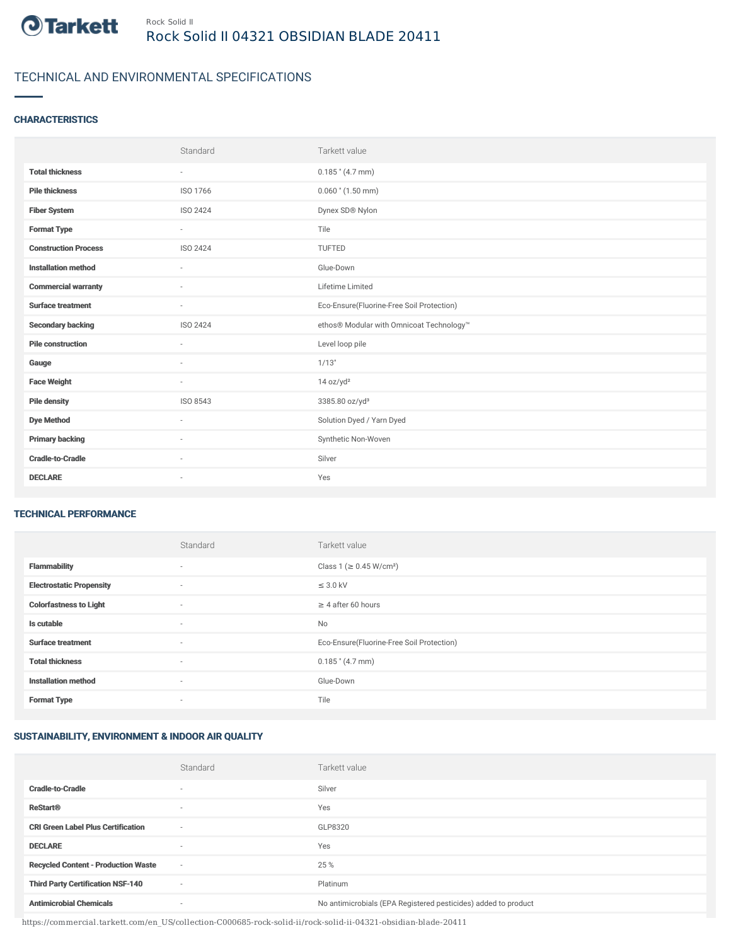

## TECHNICAL AND ENVIRONMENTAL SPECIFICATIONS

### **CHARACTERISTICS**

|                             | Standard                 | Tarkett value                             |
|-----------------------------|--------------------------|-------------------------------------------|
| <b>Total thickness</b>      | $\sim$                   | $0.185$ " (4.7 mm)                        |
| <b>Pile thickness</b>       | ISO 1766                 | $0.060$ " $(1.50$ mm)                     |
| <b>Fiber System</b>         | ISO 2424                 | Dynex SD® Nylon                           |
| <b>Format Type</b>          | $\sim$                   | Tile                                      |
| <b>Construction Process</b> | <b>ISO 2424</b>          | <b>TUFTED</b>                             |
| <b>Installation method</b>  | ٠                        | Glue-Down                                 |
| <b>Commercial warranty</b>  | $\sim$                   | Lifetime Limited                          |
| <b>Surface treatment</b>    | $\sim$                   | Eco-Ensure(Fluorine-Free Soil Protection) |
| <b>Secondary backing</b>    | ISO 2424                 | ethos® Modular with Omnicoat Technology™  |
| <b>Pile construction</b>    | $\overline{\phantom{a}}$ | Level loop pile                           |
| Gauge                       | $\overline{\phantom{a}}$ | 1/13"                                     |
| <b>Face Weight</b>          | $\sim$                   | 14 oz/yd <sup>2</sup>                     |
| <b>Pile density</b>         | ISO 8543                 | 3385.80 oz/yd <sup>3</sup>                |
| <b>Dye Method</b>           | $\sim$                   | Solution Dyed / Yarn Dyed                 |
| <b>Primary backing</b>      | $\sim$                   | Synthetic Non-Woven                       |
| <b>Cradle-to-Cradle</b>     | $\overline{\phantom{a}}$ | Silver                                    |
| <b>DECLARE</b>              | $\sim$                   | Yes                                       |

#### TECHNICAL PERFORMANCE

|                                 | Standard | Tarkett value                             |
|---------------------------------|----------|-------------------------------------------|
| <b>Flammability</b>             | $\sim$   | Class 1 (≥ 0.45 W/cm <sup>2</sup> )       |
| <b>Electrostatic Propensity</b> | $\sim$   | $\leq$ 3.0 kV                             |
| <b>Colorfastness to Light</b>   | $\sim$   | $\geq$ 4 after 60 hours                   |
| Is cutable                      | ٠        | <b>No</b>                                 |
| <b>Surface treatment</b>        | ٠        | Eco-Ensure(Fluorine-Free Soil Protection) |
| <b>Total thickness</b>          | ٠        | $0.185$ " (4.7 mm)                        |
| <b>Installation method</b>      | $\sim$   | Glue-Down                                 |
| <b>Format Type</b>              | $\sim$   | Tile                                      |

### SUSTAINABILITY, ENVIRONMENT & INDOOR AIR QUALITY

|                                            | Standard                 | Tarkett value                                                  |
|--------------------------------------------|--------------------------|----------------------------------------------------------------|
| <b>Cradle-to-Cradle</b>                    |                          | Silver                                                         |
| <b>ReStart®</b>                            | $\overline{\phantom{a}}$ | Yes                                                            |
| <b>CRI Green Label Plus Certification</b>  | $\overline{\phantom{a}}$ | GLP8320                                                        |
| <b>DECLARE</b>                             | $\overline{\phantom{a}}$ | Yes                                                            |
| <b>Recycled Content - Production Waste</b> | $\sim$                   | 25 %                                                           |
| <b>Third Party Certification NSF-140</b>   | $\overline{\phantom{a}}$ | Platinum                                                       |
| <b>Antimicrobial Chemicals</b>             | ۰                        | No antimicrobials (EPA Registered pesticides) added to product |

https://commercial.tarkett.com/en\_US/collection-C000685-rock-solid-ii/rock-solid-ii-04321-obsidian-blade-20411